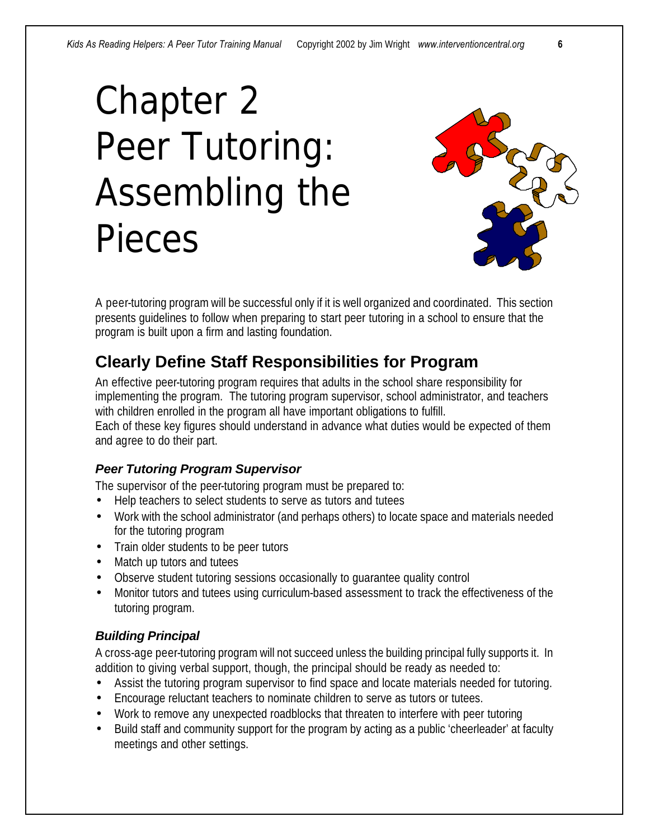# Chapter 2 Peer Tutoring: Assembling the Pieces



A peer-tutoring program will be successful only if it is well organized and coordinated. This section presents guidelines to follow when preparing to start peer tutoring in a school to ensure that the program is built upon a firm and lasting foundation.

# **Clearly Define Staff Responsibilities for Program**

An effective peer-tutoring program requires that adults in the school share responsibility for implementing the program. The tutoring program supervisor, school administrator, and teachers with children enrolled in the program all have important obligations to fulfill. Each of these key figures should understand in advance what duties would be expected of them and agree to do their part.

# *Peer Tutoring Program Supervisor*

The supervisor of the peer-tutoring program must be prepared to:

- Help teachers to select students to serve as tutors and tutees
- Work with the school administrator (and perhaps others) to locate space and materials needed for the tutoring program
- Train older students to be peer tutors
- Match up tutors and tutees
- Observe student tutoring sessions occasionally to guarantee quality control
- Monitor tutors and tutees using curriculum-based assessment to track the effectiveness of the tutoring program.

# *Building Principal*

A cross-age peer-tutoring program will not succeed unless the building principal fully supports it. In addition to giving verbal support, though, the principal should be ready as needed to:

- Assist the tutoring program supervisor to find space and locate materials needed for tutoring.
- Encourage reluctant teachers to nominate children to serve as tutors or tutees.
- Work to remove any unexpected roadblocks that threaten to interfere with peer tutoring
- Build staff and community support for the program by acting as a public 'cheerleader' at faculty meetings and other settings.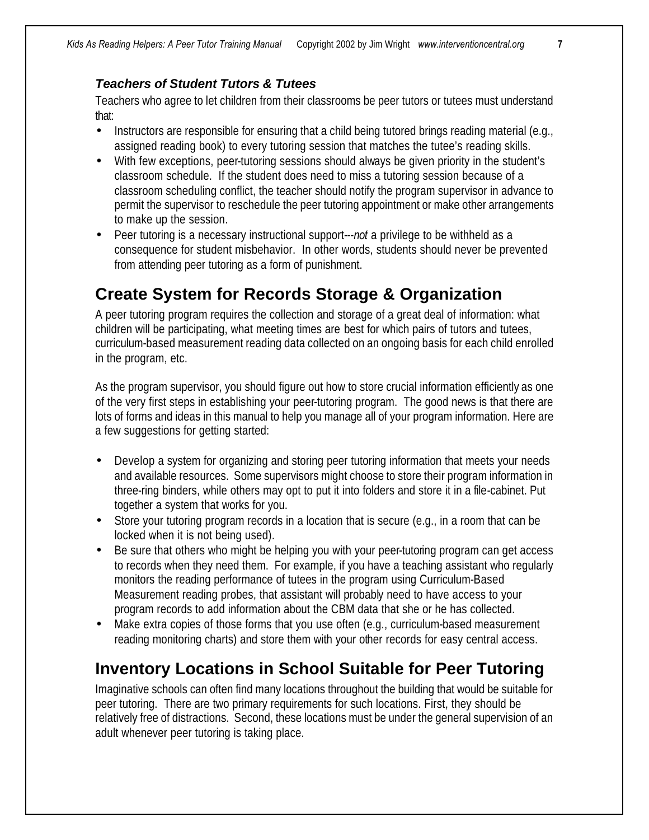#### *Teachers of Student Tutors & Tutees*

Teachers who agree to let children from their classrooms be peer tutors or tutees must understand that:

- Instructors are responsible for ensuring that a child being tutored brings reading material (e.g., assigned reading book) to every tutoring session that matches the tutee's reading skills.
- With few exceptions, peer-tutoring sessions should always be given priority in the student's classroom schedule. If the student does need to miss a tutoring session because of a classroom scheduling conflict, the teacher should notify the program supervisor in advance to permit the supervisor to reschedule the peer tutoring appointment or make other arrangements to make up the session.
- Peer tutoring is a necessary instructional support---*not* a privilege to be withheld as a consequence for student misbehavior. In other words, students should never be prevented from attending peer tutoring as a form of punishment.

# **Create System for Records Storage & Organization**

A peer tutoring program requires the collection and storage of a great deal of information: what children will be participating, what meeting times are best for which pairs of tutors and tutees, curriculum-based measurement reading data collected on an ongoing basis for each child enrolled in the program, etc.

As the program supervisor, you should figure out how to store crucial information efficiently as one of the very first steps in establishing your peer-tutoring program. The good news is that there are lots of forms and ideas in this manual to help you manage all of your program information. Here are a few suggestions for getting started:

- Develop a system for organizing and storing peer tutoring information that meets your needs and available resources. Some supervisors might choose to store their program information in three-ring binders, while others may opt to put it into folders and store it in a file-cabinet. Put together a system that works for you.
- Store your tutoring program records in a location that is secure (e.g., in a room that can be locked when it is not being used).
- Be sure that others who might be helping you with your peer-tutoring program can get access to records when they need them. For example, if you have a teaching assistant who regularly monitors the reading performance of tutees in the program using Curriculum-Based Measurement reading probes, that assistant will probably need to have access to your program records to add information about the CBM data that she or he has collected.
- Make extra copies of those forms that you use often (e.g., curriculum-based measurement reading monitoring charts) and store them with your other records for easy central access.

# **Inventory Locations in School Suitable for Peer Tutoring**

Imaginative schools can often find many locations throughout the building that would be suitable for peer tutoring. There are two primary requirements for such locations. First, they should be relatively free of distractions. Second, these locations must be under the general supervision of an adult whenever peer tutoring is taking place.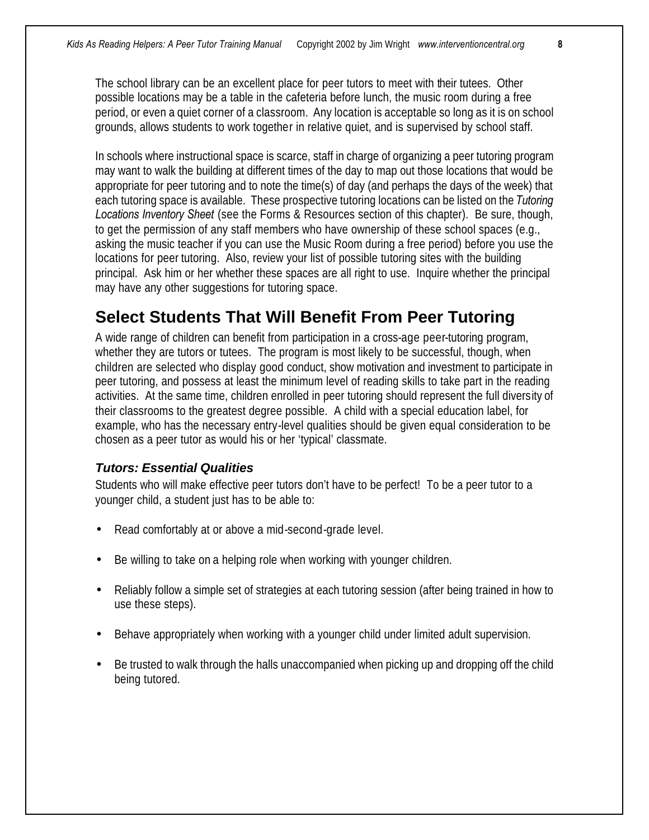The school library can be an excellent place for peer tutors to meet with their tutees. Other possible locations may be a table in the cafeteria before lunch, the music room during a free period, or even a quiet corner of a classroom. Any location is acceptable so long as it is on school grounds, allows students to work together in relative quiet, and is supervised by school staff.

In schools where instructional space is scarce, staff in charge of organizing a peer tutoring program may want to walk the building at different times of the day to map out those locations that would be appropriate for peer tutoring and to note the time(s) of day (and perhaps the days of the week) that each tutoring space is available. These prospective tutoring locations can be listed on the *Tutoring Locations Inventory Sheet* (see the Forms & Resources section of this chapter). Be sure, though, to get the permission of any staff members who have ownership of these school spaces (e.g., asking the music teacher if you can use the Music Room during a free period) before you use the locations for peer tutoring. Also, review your list of possible tutoring sites with the building principal. Ask him or her whether these spaces are all right to use. Inquire whether the principal may have any other suggestions for tutoring space.

# **Select Students That Will Benefit From Peer Tutoring**

A wide range of children can benefit from participation in a cross-age peer-tutoring program, whether they are tutors or tutees. The program is most likely to be successful, though, when children are selected who display good conduct, show motivation and investment to participate in peer tutoring, and possess at least the minimum level of reading skills to take part in the reading activities. At the same time, children enrolled in peer tutoring should represent the full diversity of their classrooms to the greatest degree possible. A child with a special education label, for example, who has the necessary entry-level qualities should be given equal consideration to be chosen as a peer tutor as would his or her 'typical' classmate.

## *Tutors: Essential Qualities*

Students who will make effective peer tutors don't have to be perfect! To be a peer tutor to a younger child, a student just has to be able to:

- Read comfortably at or above a mid-second-grade level.
- Be willing to take on a helping role when working with younger children.
- Reliably follow a simple set of strategies at each tutoring session (after being trained in how to use these steps).
- Behave appropriately when working with a younger child under limited adult supervision.
- Be trusted to walk through the halls unaccompanied when picking up and dropping off the child being tutored.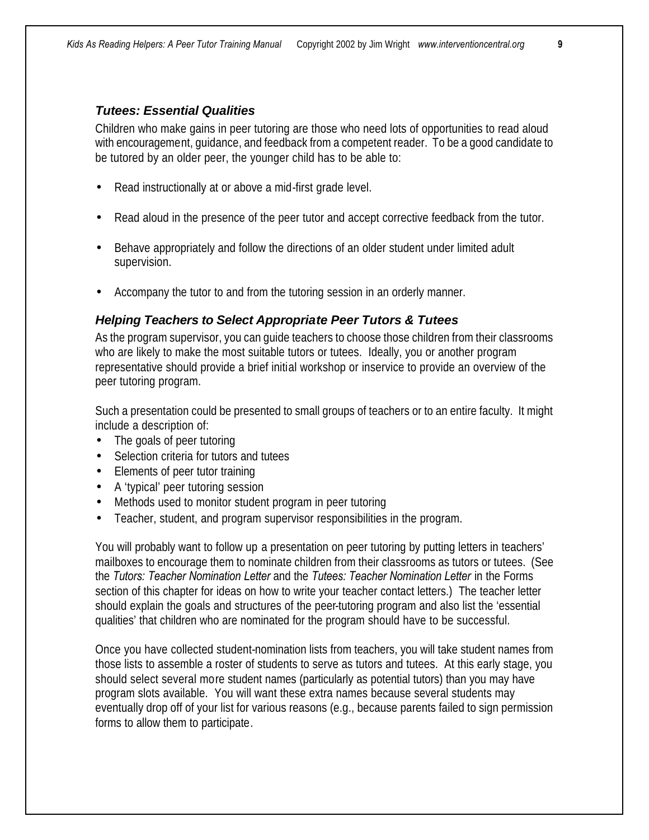#### *Tutees: Essential Qualities*

Children who make gains in peer tutoring are those who need lots of opportunities to read aloud with encouragement, guidance, and feedback from a competent reader. To be a good candidate to be tutored by an older peer, the younger child has to be able to:

- Read instructionally at or above a mid-first grade level.
- Read aloud in the presence of the peer tutor and accept corrective feedback from the tutor.
- Behave appropriately and follow the directions of an older student under limited adult supervision.
- Accompany the tutor to and from the tutoring session in an orderly manner.

#### *Helping Teachers to Select Appropriate Peer Tutors & Tutees*

As the program supervisor, you can guide teachers to choose those children from their classrooms who are likely to make the most suitable tutors or tutees. Ideally, you or another program representative should provide a brief initial workshop or inservice to provide an overview of the peer tutoring program.

Such a presentation could be presented to small groups of teachers or to an entire faculty. It might include a description of:

- The goals of peer tutoring
- Selection criteria for tutors and tutees
- Elements of peer tutor training
- A 'typical' peer tutoring session
- Methods used to monitor student program in peer tutoring
- Teacher, student, and program supervisor responsibilities in the program.

You will probably want to follow up a presentation on peer tutoring by putting letters in teachers' mailboxes to encourage them to nominate children from their classrooms as tutors or tutees. (See the *Tutors: Teacher Nomination Letter* and the *Tutees: Teacher Nomination Letter* in the Forms section of this chapter for ideas on how to write your teacher contact letters.) The teacher letter should explain the goals and structures of the peer-tutoring program and also list the 'essential qualities' that children who are nominated for the program should have to be successful.

Once you have collected student-nomination lists from teachers, you will take student names from those lists to assemble a roster of students to serve as tutors and tutees. At this early stage, you should select several more student names (particularly as potential tutors) than you may have program slots available. You will want these extra names because several students may eventually drop off of your list for various reasons (e.g., because parents failed to sign permission forms to allow them to participate.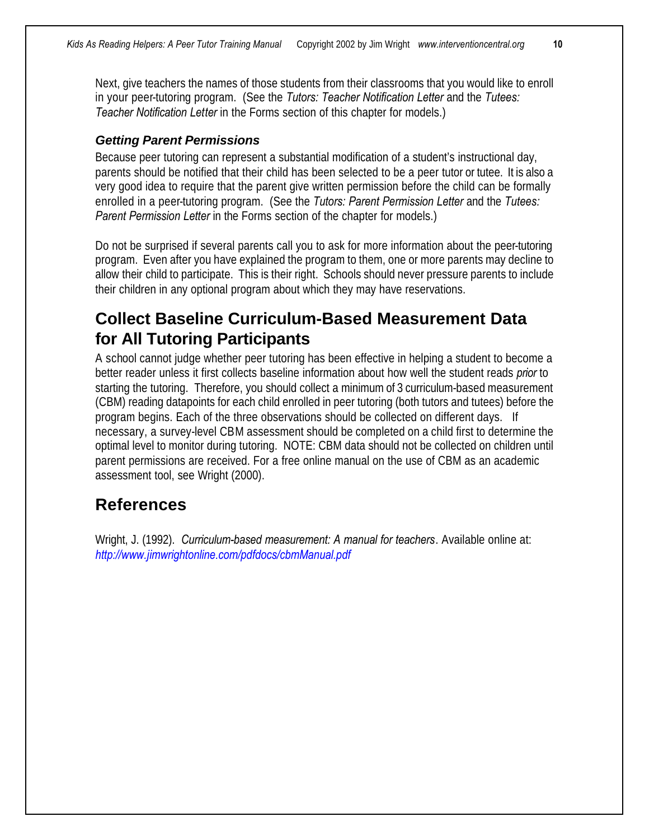Next, give teachers the names of those students from their classrooms that you would like to enroll in your peer-tutoring program. (See the *Tutors: Teacher Notification Letter* and the *Tutees: Teacher Notification Letter* in the Forms section of this chapter for models.)

#### *Getting Parent Permissions*

Because peer tutoring can represent a substantial modification of a student's instructional day, parents should be notified that their child has been selected to be a peer tutor or tutee. It is also a very good idea to require that the parent give written permission before the child can be formally enrolled in a peer-tutoring program. (See the *Tutors: Parent Permission Letter* and the *Tutees: Parent Permission Letter* in the Forms section of the chapter for models.)

Do not be surprised if several parents call you to ask for more information about the peer-tutoring program. Even after you have explained the program to them, one or more parents may decline to allow their child to participate. This is their right. Schools should never pressure parents to include their children in any optional program about which they may have reservations.

# **Collect Baseline Curriculum-Based Measurement Data for All Tutoring Participants**

A school cannot judge whether peer tutoring has been effective in helping a student to become a better reader unless it first collects baseline information about how well the student reads *prior* to starting the tutoring. Therefore, you should collect a minimum of 3 curriculum-based measurement (CBM) reading datapoints for each child enrolled in peer tutoring (both tutors and tutees) before the program begins. Each of the three observations should be collected on different days. If necessary, a survey-level CBM assessment should be completed on a child first to determine the optimal level to monitor during tutoring. NOTE: CBM data should not be collected on children until parent permissions are received. For a free online manual on the use of CBM as an academic assessment tool, see Wright (2000).

# **References**

Wright, J. (1992). *Curriculum-based measurement: A manual for teachers*. Available online at: *http://www.jimwrightonline.com/pdfdocs/cbmManual.pdf*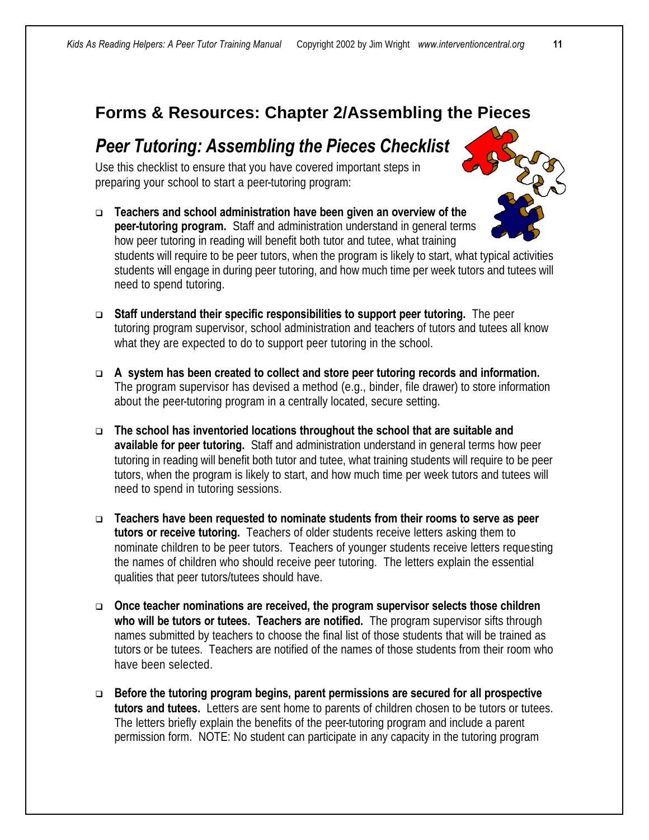# **Forms & Resources: Chapter 2/Assembling the Pieces**

# *Peer Tutoring: Assembling the Pieces Checklist*

Use this checklist to ensure that you have covered important steps in preparing your school to start a peer-tutoring program:

- <sup>q</sup> **Teachers and school administration have been given an overview of the peer-tutoring program.** Staff and administration understand in general terms how peer tutoring in reading will benefit both tutor and tutee, what training students will require to be peer tutors, when the program is likely to start, what typical activities students will engage in during peer tutoring, and how much time per week tutors and tutees will need to spend tutoring.
- <sup>q</sup> **Staff understand their specific responsibilities to support peer tutoring.** The peer tutoring program supervisor, school administration and teachers of tutors and tutees all know what they are expected to do to support peer tutoring in the school.
- <sup>q</sup> **A system has been created to collect and store peer tutoring records and information.**  The program supervisor has devised a method (e.g., binder, file drawer) to store information about the peer-tutoring program in a centrally located, secure setting.
- <sup>q</sup> **The school has inventoried locations throughout the school that are suitable and available for peer tutoring.** Staff and administration understand in general terms how peer tutoring in reading will benefit both tutor and tutee, what training students will require to be peer tutors, when the program is likely to start, and how much time per week tutors and tutees will need to spend in tutoring sessions.
- <sup>q</sup> **Teachers have been requested to nominate students from their rooms to serve as peer tutors or receive tutoring.** Teachers of older students receive letters asking them to nominate children to be peer tutors. Teachers of younger students receive letters requesting the names of children who should receive peer tutoring. The letters explain the essential qualities that peer tutors/tutees should have.
- □ Once teacher nominations are received, the program supervisor selects those children **who will be tutors or tutees. Teachers are notified.** The program supervisor sifts through names submitted by teachers to choose the final list of those students that will be trained as tutors or be tutees. Teachers are notified of the names of those students from their room who have been selected.
- □ Before the tutoring program begins, parent permissions are secured for all prospective **tutors and tutees.** Letters are sent home to parents of children chosen to be tutors or tutees. The letters briefly explain the benefits of the peer-tutoring program and include a parent permission form. NOTE: No student can participate in any capacity in the tutoring program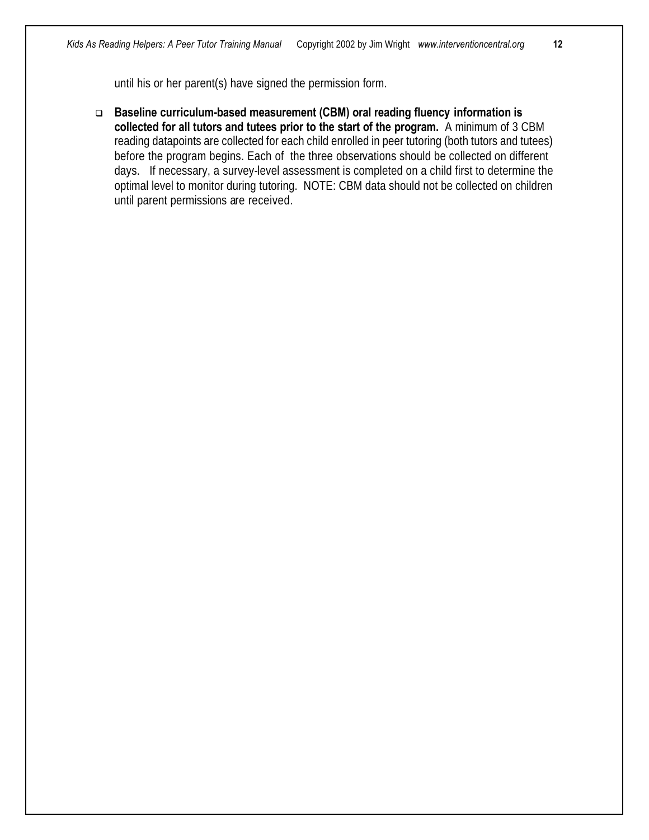until his or her parent(s) have signed the permission form.

□ Baseline curriculum-based measurement (CBM) oral reading fluency information is **collected for all tutors and tutees prior to the start of the program.** A minimum of 3 CBM reading datapoints are collected for each child enrolled in peer tutoring (both tutors and tutees) before the program begins. Each of the three observations should be collected on different days. If necessary, a survey-level assessment is completed on a child first to determine the optimal level to monitor during tutoring. NOTE: CBM data should not be collected on children until parent permissions are received.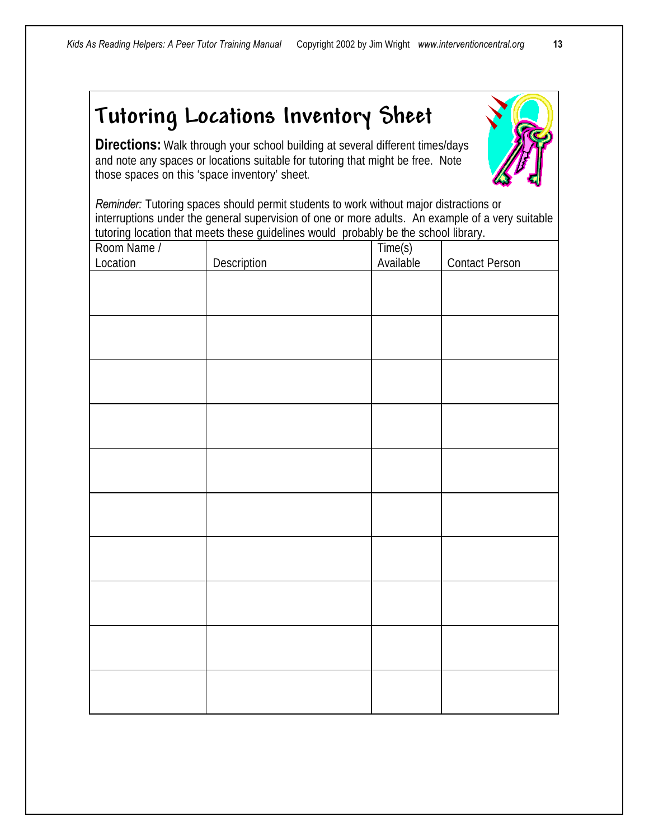# *Tutoring Locations Inventory Sheet*

**Directions:** Walk through your school building at several different times/days and note any spaces or locations suitable for tutoring that might be free. Note those spaces on this 'space inventory' sheet.

*Reminder:* Tutoring spaces should permit students to work without major distractions or interruptions under the general supervision of one or more adults. An example of a very suitable tutoring location that meets these guidelines would probably be the school library.

| Room Name /<br>Location | Description | Time(s)<br>Available | <b>Contact Person</b> |
|-------------------------|-------------|----------------------|-----------------------|
|                         |             |                      |                       |
|                         |             |                      |                       |
|                         |             |                      |                       |
|                         |             |                      |                       |
|                         |             |                      |                       |
|                         |             |                      |                       |
|                         |             |                      |                       |
|                         |             |                      |                       |
|                         |             |                      |                       |
|                         |             |                      |                       |
|                         |             |                      |                       |
|                         |             |                      |                       |
|                         |             |                      |                       |
|                         |             |                      |                       |
|                         |             |                      |                       |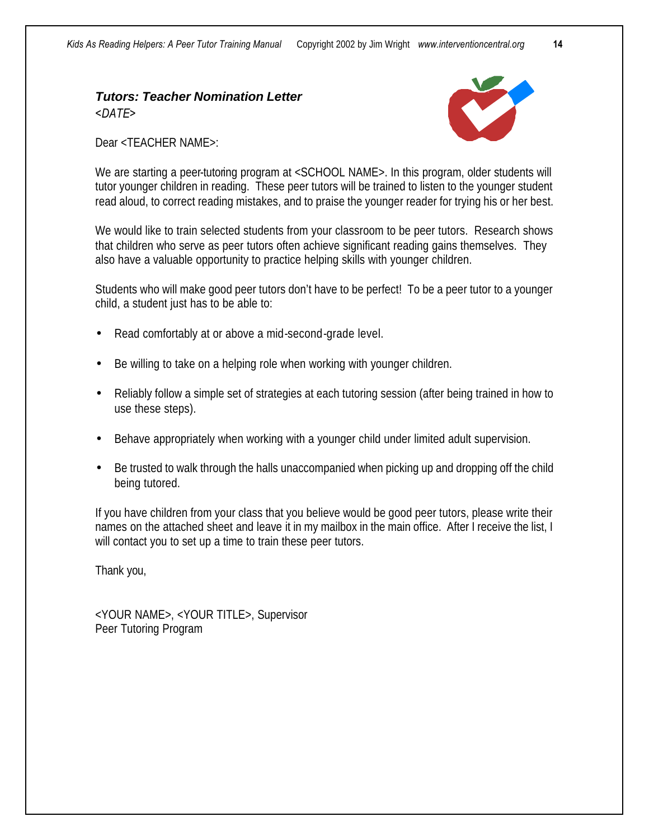## *Tutors: Teacher Nomination Letter <DATE>*



Dear <TEACHER NAME>:

We are starting a peer-tutoring program at <SCHOOL NAME>. In this program, older students will tutor younger children in reading. These peer tutors will be trained to listen to the younger student read aloud, to correct reading mistakes, and to praise the younger reader for trying his or her best.

We would like to train selected students from your classroom to be peer tutors. Research shows that children who serve as peer tutors often achieve significant reading gains themselves. They also have a valuable opportunity to practice helping skills with younger children.

Students who will make good peer tutors don't have to be perfect! To be a peer tutor to a younger child, a student just has to be able to:

- Read comfortably at or above a mid-second-grade level.
- Be willing to take on a helping role when working with younger children.
- Reliably follow a simple set of strategies at each tutoring session (after being trained in how to use these steps).
- Behave appropriately when working with a younger child under limited adult supervision.
- Be trusted to walk through the halls unaccompanied when picking up and dropping off the child being tutored.

If you have children from your class that you believe would be good peer tutors, please write their names on the attached sheet and leave it in my mailbox in the main office. After I receive the list, I will contact you to set up a time to train these peer tutors.

Thank you,

<YOUR NAME>, <YOUR TITLE>, Supervisor Peer Tutoring Program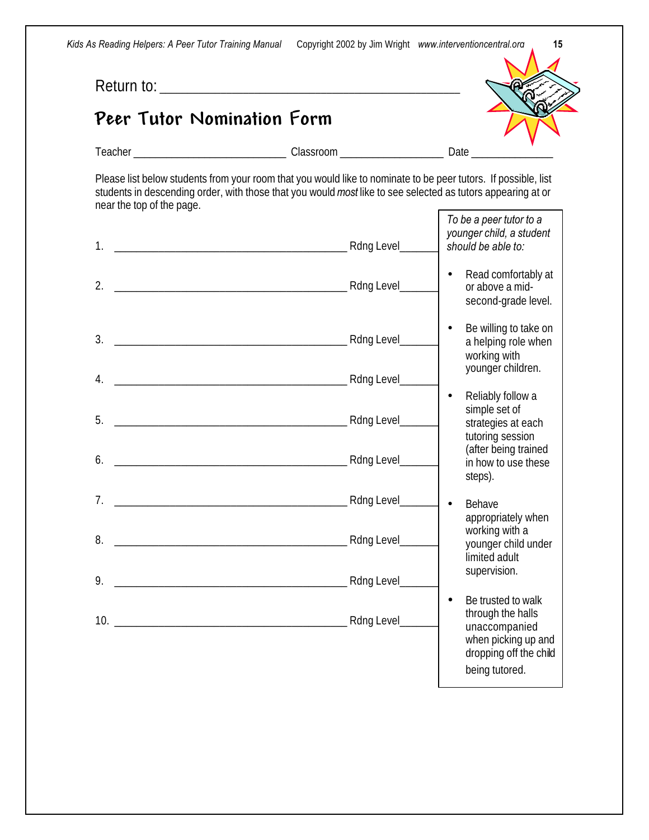*Kids As Reading Helpers: A Peer Tutor Training Manual* Copyright 2002 by Jim Wright *www.interventioncentral.org* **15**

Return to: \_\_\_\_\_\_\_\_\_\_\_\_\_\_\_\_\_\_\_\_\_\_\_\_\_\_\_\_\_\_\_\_\_\_\_\_\_\_\_\_\_\_\_\_\_\_\_\_\_\_\_\_\_\_

# *Peer Tutor Nomination Form*



Teacher \_\_\_\_\_\_\_\_\_\_\_\_\_\_\_\_\_\_\_\_\_\_\_\_\_\_\_\_ Classroom \_\_\_\_\_\_\_\_\_\_\_\_\_\_\_\_\_\_\_ Date \_\_\_\_\_\_\_\_\_\_\_\_\_\_\_

Please list below students from your room that you would like to nominate to be peer tutors. If possible, list students in descending order, with those that you would *most* like to see selected as tutors appearing at or near the top of the page. *To be a peer tutor to a* 

| 1.             | To be a peer tutor to a<br>younger child, a student<br>should be able to:                                                                |
|----------------|------------------------------------------------------------------------------------------------------------------------------------------|
| 2.             | Read comfortably at<br>or above a mid-<br>second-grade level.                                                                            |
| 3.             | Be willing to take on<br>a helping role when<br>working with                                                                             |
| 4.             | younger children.                                                                                                                        |
| 5.<br>6.       | Reliably follow a<br>simple set of<br>strategies at each<br>tutoring session<br>(after being trained<br>in how to use these<br>steps).   |
| 7 <sub>1</sub> | Behave                                                                                                                                   |
| 8.             | appropriately when<br>working with a<br>younger child under<br>limited adult                                                             |
| 9.             | supervision.                                                                                                                             |
|                | Be trusted to walk<br>$\bullet$<br>through the halls<br>unaccompanied<br>when picking up and<br>dropping off the child<br>being tutored. |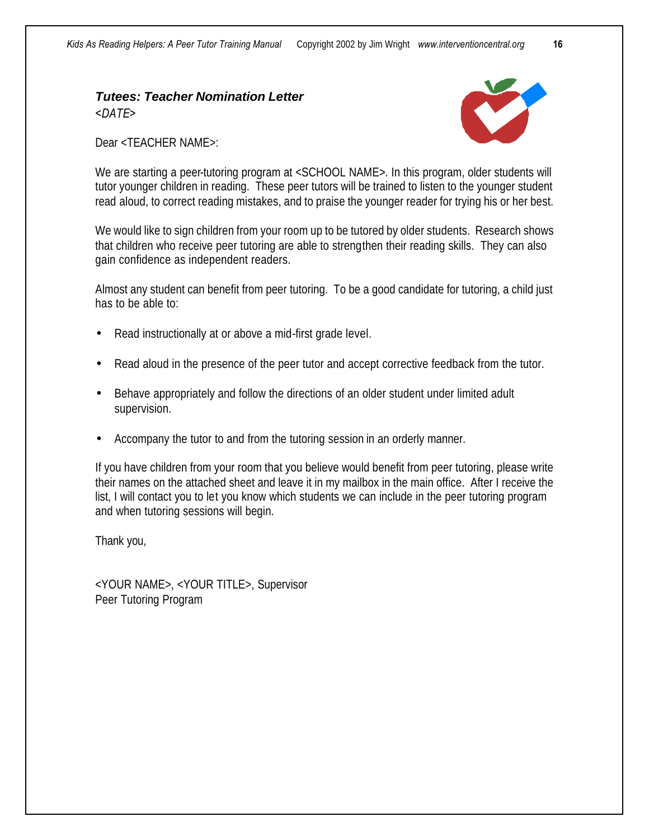## *Tutees: Teacher Nomination Letter <DATE>*

Dear <TEACHER NAME>:

We are starting a peer-tutoring program at <SCHOOL NAME>. In this program, older students will tutor younger children in reading. These peer tutors will be trained to listen to the younger student read aloud, to correct reading mistakes, and to praise the younger reader for trying his or her best.

We would like to sign children from your room up to be tutored by older students. Research shows that children who receive peer tutoring are able to strengthen their reading skills. They can also gain confidence as independent readers.

Almost any student can benefit from peer tutoring. To be a good candidate for tutoring, a child just has to be able to:

- Read instructionally at or above a mid-first grade level.
- Read aloud in the presence of the peer tutor and accept corrective feedback from the tutor.
- Behave appropriately and follow the directions of an older student under limited adult supervision.
- Accompany the tutor to and from the tutoring session in an orderly manner.

If you have children from your room that you believe would benefit from peer tutoring, please write their names on the attached sheet and leave it in my mailbox in the main office. After I receive the list, I will contact you to let you know which students we can include in the peer tutoring program and when tutoring sessions will begin.

Thank you,

<YOUR NAME>, <YOUR TITLE>, Supervisor Peer Tutoring Program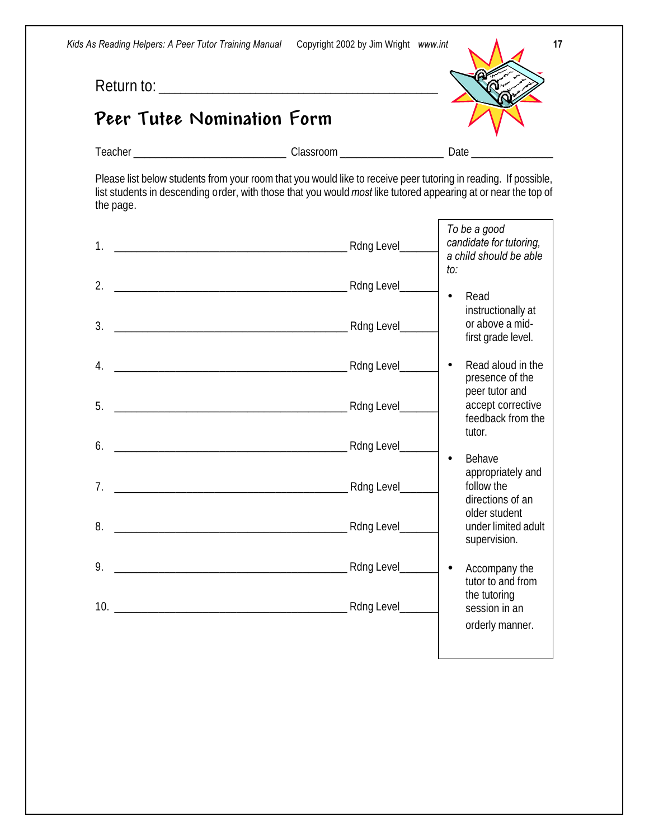*Kids As Reading Helpers: A Peer Tutor Training Manual* Copyright 2002 by Jim Wright *www.int* 

Return to: \_\_\_\_\_\_\_\_\_\_\_\_\_\_\_\_\_\_\_\_\_\_\_\_\_\_\_\_\_\_\_\_\_\_\_\_\_\_\_\_\_\_\_\_\_\_\_\_\_\_\_\_

# *Peer Tutee Nomination Form*



Teacher \_\_\_\_\_\_\_\_\_\_\_\_\_\_\_\_\_\_\_\_\_\_\_\_\_\_\_\_ Classroom \_\_\_\_\_\_\_\_\_\_\_\_\_\_\_\_\_\_\_ Date \_\_\_\_\_\_\_\_\_\_\_\_\_\_\_

Please list below students from your room that you would like to receive peer tutoring in reading. If possible, list students in descending order, with those that you would *most* like tutored appearing at or near the top of the page.

| 1 <sub>1</sub> |                | To be a good<br>candidate for tutoring,<br>a child should be able<br>to:              |
|----------------|----------------|---------------------------------------------------------------------------------------|
| 2.             |                | Read                                                                                  |
| 3.             |                | $\bullet$<br>instructionally at<br>or above a mid-<br>first grade level.              |
| 4.             |                | Read aloud in the<br>$\bullet$                                                        |
| 5.             |                | presence of the<br>peer tutor and<br>accept corrective<br>feedback from the<br>tutor. |
| 6.             |                | Behave<br>$\bullet$                                                                   |
| 7 <sub>1</sub> | Rdng Level_    | appropriately and<br>follow the<br>directions of an<br>older student                  |
| 8.             |                | under limited adult<br>supervision.                                                   |
| 9.             | Rdng Level_    | Accompany the<br>$\bullet$<br>tutor to and from<br>the tutoring                       |
|                | Rdng Level____ | session in an<br>orderly manner.                                                      |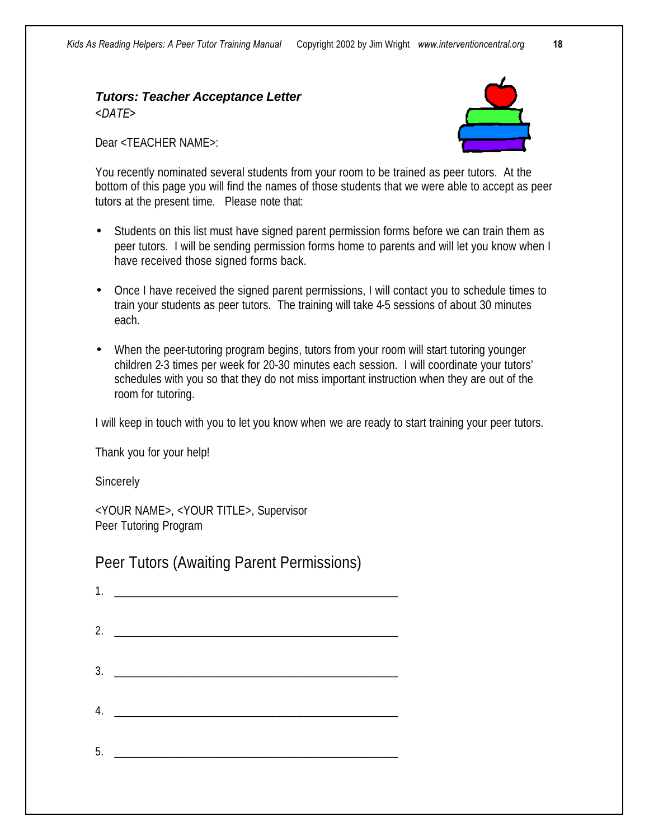## *Tutors: Teacher Acceptance Letter <DATE>*

Dear <TEACHER NAME>:



You recently nominated several students from your room to be trained as peer tutors. At the bottom of this page you will find the names of those students that we were able to accept as peer tutors at the present time. Please note that:

- Students on this list must have signed parent permission forms before we can train them as peer tutors. I will be sending permission forms home to parents and will let you know when I have received those signed forms back.
- Once I have received the signed parent permissions, I will contact you to schedule times to train your students as peer tutors. The training will take 4-5 sessions of about 30 minutes each.
- When the peer-tutoring program begins, tutors from your room will start tutoring younger children 2-3 times per week for 20-30 minutes each session. I will coordinate your tutors' schedules with you so that they do not miss important instruction when they are out of the room for tutoring.

I will keep in touch with you to let you know when we are ready to start training your peer tutors.

Thank you for your help!

**Sincerely** 

<YOUR NAME>, <YOUR TITLE>, Supervisor Peer Tutoring Program

Peer Tutors (Awaiting Parent Permissions)

| 1. |  |
|----|--|
|    |  |
|    |  |
|    |  |
| 3. |  |
|    |  |
| 4. |  |
|    |  |
| 5. |  |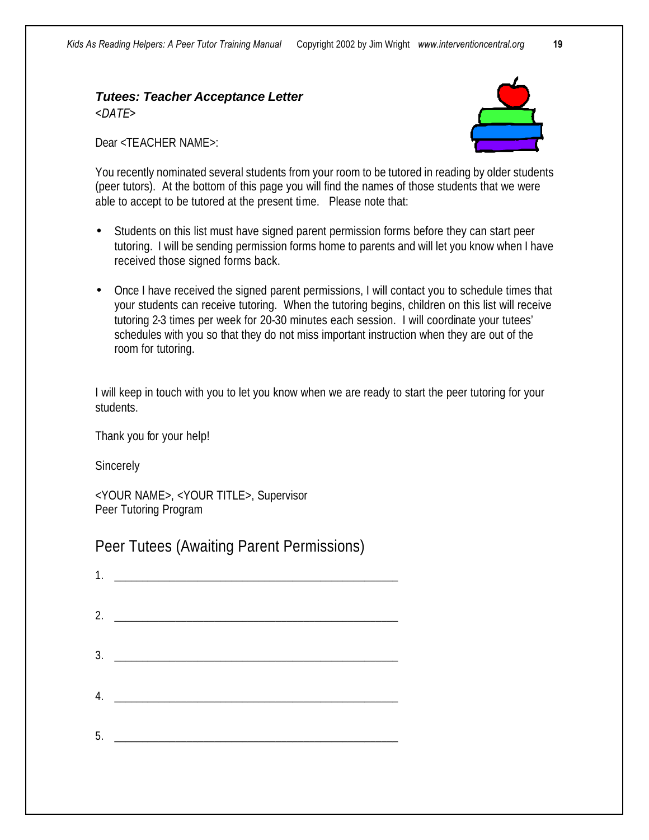## *Tutees: Teacher Acceptance Letter <DATE>*

Dear <TEACHER NAME>:



You recently nominated several students from your room to be tutored in reading by older students (peer tutors). At the bottom of this page you will find the names of those students that we were able to accept to be tutored at the present time. Please note that:

- Students on this list must have signed parent permission forms before they can start peer tutoring. I will be sending permission forms home to parents and will let you know when I have received those signed forms back.
- Once I have received the signed parent permissions, I will contact you to schedule times that your students can receive tutoring. When the tutoring begins, children on this list will receive tutoring 2-3 times per week for 20-30 minutes each session. I will coordinate your tutees' schedules with you so that they do not miss important instruction when they are out of the room for tutoring.

I will keep in touch with you to let you know when we are ready to start the peer tutoring for your students.

Thank you for your help!

**Sincerely** 

<YOUR NAME>, <YOUR TITLE>, Supervisor Peer Tutoring Program

Peer Tutees (Awaiting Parent Permissions)

| 4. |  |
|----|--|
|    |  |
| 5. |  |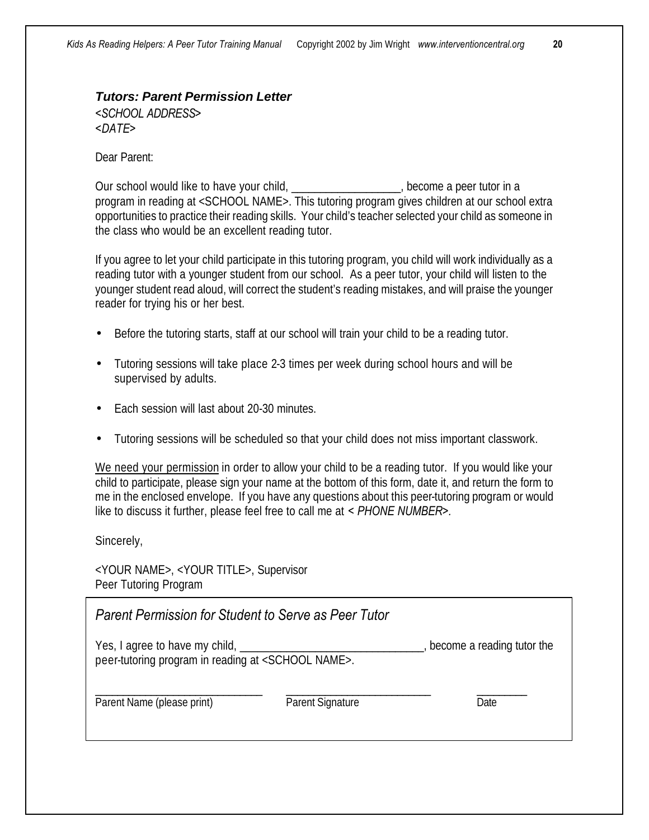#### *Tutors: Parent Permission Letter <SCHOOL ADDRESS> <DATE>*

Dear Parent:

Our school would like to have your child, \_\_\_\_\_\_\_\_\_\_\_\_\_\_\_\_\_\_\_, become a peer tutor in a program in reading at <SCHOOL NAME>. This tutoring program gives children at our school extra opportunities to practice their reading skills. Your child's teacher selected your child as someone in the class who would be an excellent reading tutor.

If you agree to let your child participate in this tutoring program, you child will work individually as a reading tutor with a younger student from our school. As a peer tutor, your child will listen to the younger student read aloud, will correct the student's reading mistakes, and will praise the younger reader for trying his or her best.

- Before the tutoring starts, staff at our school will train your child to be a reading tutor.
- Tutoring sessions will take place 2-3 times per week during school hours and will be supervised by adults.
- Each session will last about 20-30 minutes.
- Tutoring sessions will be scheduled so that your child does not miss important classwork.

We need your permission in order to allow your child to be a reading tutor. If you would like your child to participate, please sign your name at the bottom of this form, date it, and return the form to me in the enclosed envelope. If you have any questions about this peer-tutoring program or would like to discuss it further, please feel free to call me at *< PHONE NUMBER>.*

Sincerely,

<YOUR NAME>, <YOUR TITLE>, Supervisor Peer Tutoring Program

*Parent Permission for Student to Serve as Peer Tutor* Yes, I agree to have my child, the same of the state of the state of the state of the state of the state of the state of the state of the state of the state of the state of the state of the state of the state of the state peer-tutoring program in reading at <SCHOOL NAME>.

Parent Name (please print) Parent Signature Parent Signature Date

\_\_\_\_\_\_\_\_\_\_\_\_\_\_\_\_\_\_\_\_\_\_\_\_\_\_\_\_\_\_ \_\_\_\_\_\_\_\_\_\_\_\_\_\_\_\_\_\_\_\_\_\_\_\_\_\_ \_\_\_\_\_\_\_\_\_